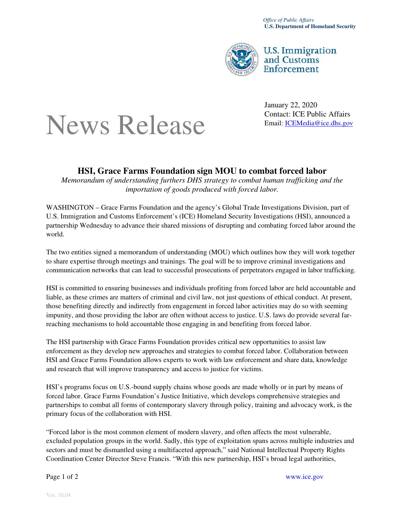

**U.S. Immigration** and Customs **Enforcement** 

January 22, 2020 News Release Email: <u>ICEMedia@ice.dhs.gov</u>

## **HSI, Grace Farms Foundation sign MOU to combat forced labor**

*Memorandum of understanding furthers DHS strategy to combat human trafficking and the importation of goods produced with forced labor.* 

WASHINGTON – Grace Farms Foundation and the agency's Global Trade Investigations Division, part of U.S. Immigration and Customs Enforcement's (ICE) Homeland Security Investigations (HSI), announced a partnership Wednesday to advance their shared missions of disrupting and combating forced labor around the world.

The two entities signed a memorandum of understanding (MOU) which outlines how they will work together to share expertise through meetings and trainings. The goal will be to improve criminal investigations and communication networks that can lead to successful prosecutions of perpetrators engaged in labor trafficking.

HSI is committed to ensuring businesses and individuals profiting from forced labor are held accountable and liable, as these crimes are matters of criminal and civil law, not just questions of ethical conduct. At present, those benefiting directly and indirectly from engagement in forced labor activities may do so with seeming impunity, and those providing the labor are often without access to justice. U.S. laws do provide several farreaching mechanisms to hold accountable those engaging in and benefiting from forced labor.

The HSI partnership with Grace Farms Foundation provides critical new opportunities to assist law enforcement as they develop new approaches and strategies to combat forced labor. Collaboration between HSI and Grace Farms Foundation allows experts to work with law enforcement and share data, knowledge and research that will improve transparency and access to justice for victims.

HSI's programs focus on U.S.-bound supply chains whose goods are made wholly or in part by means of forced labor. Grace Farms Foundation's Justice Initiative, which develops comprehensive strategies and partnerships to combat all forms of contemporary slavery through policy, training and advocacy work, is the primary focus of the collaboration with HSI.

"Forced labor is the most common element of modern slavery, and often affects the most vulnerable, excluded population groups in the world. Sadly, this type of exploitation spans across multiple industries and sectors and must be dismantled using a multifaceted approach," said National Intellectual Property Rights Coordination Center Director Steve Francis. "With this new partnership, HSI's broad legal authorities,